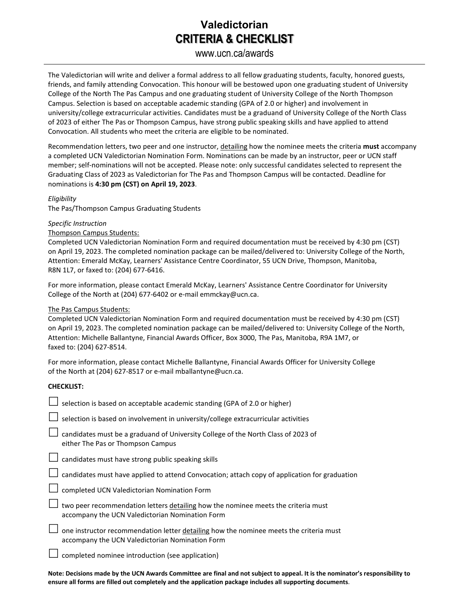## **Valedictorian CRITERIA & CHECKLIST**

#### www.ucn.ca/awards

The Valedictorian will write and deliver a formal address to all fellow graduating students, faculty, honored guests, friends, and family attending Convocation. This honour will be bestowed upon one graduating student of University College of the North The Pas Campus and one graduating student of University College of the North Thompson Campus. Selection is based on acceptable academic standing (GPA of 2.0 or higher) and involvement in university/college extracurricular activities. Candidates must be a graduand of University College of the North Class of 2023 of either The Pas or Thompson Campus, have strong public speaking skills and have applied to attend Convocation. All students who meet the criteria are eligible to be nominated.

Recommendation letters, two peer and one instructor, detailing how the nominee meets the criteria **must** accompany a completed UCN Valedictorian Nomination Form. Nominations can be made by an instructor, peer or UCN staff member; self-nominations will not be accepted. Please note: only successful candidates selected to represent the Graduating Class of 2023 as Valedictorian for The Pas and Thompson Campus will be contacted. Deadline for nominations is **4:30 pm (CST) on April 19, 2023**.

#### *Eligibility*

The Pas/Thompson Campus Graduating Students

#### *Specific Instruction*

#### Thompson Campus Students:

Completed UCN Valedictorian Nomination Form and required documentation must be received by 4:30 pm (CST) on April 19, 2023. The completed nomination package can be mailed/delivered to: University College of the North, Attention: Emerald McKay, Learners' Assistance Centre Coordinator, 55 UCN Drive, Thompson, Manitoba, R8N 1L7, or faxed to: (204) 677-6416.

For more information, please contact Emerald McKay, Learners' Assistance Centre Coordinator for University College of the North at (204) 677-6402 or e-mail emmckay@ucn.ca.

#### The Pas Campus Students:

Completed UCN Valedictorian Nomination Form and required documentation must be received by 4:30 pm (CST) on April 19, 2023. The completed nomination package can be mailed/delivered to: University College of the North, Attention: Michelle Ballantyne, Financial Awards Officer, Box 3000, The Pas, Manitoba, R9A 1M7, or faxed to: (204) 627-8514.

For more information, please contact Michelle Ballantyne, Financial Awards Officer for University College of the North at (204) 627-8517 or e-mail mballantyne@ucn.ca.

#### **CHECKLIST:**

| selection is based on acceptable academic standing (GPA of 2.0 or higher)                                                                 |
|-------------------------------------------------------------------------------------------------------------------------------------------|
| selection is based on involvement in university/college extracurricular activities                                                        |
| candidates must be a graduand of University College of the North Class of 2023 of<br>either The Pas or Thompson Campus                    |
| candidates must have strong public speaking skills                                                                                        |
| candidates must have applied to attend Convocation; attach copy of application for graduation                                             |
| completed UCN Valedictorian Nomination Form                                                                                               |
| two peer recommendation letters detailing how the nominee meets the criteria must<br>accompany the UCN Valedictorian Nomination Form      |
| one instructor recommendation letter detailing how the nominee meets the criteria must<br>accompany the UCN Valedictorian Nomination Form |
| completed nominee introduction (see application)                                                                                          |

**Note: Decisions made by the UCN Awards Committee are final and not subject to appeal. It is the nominator's responsibility to ensure all forms are filled out completely and the application package includes all supporting documents**.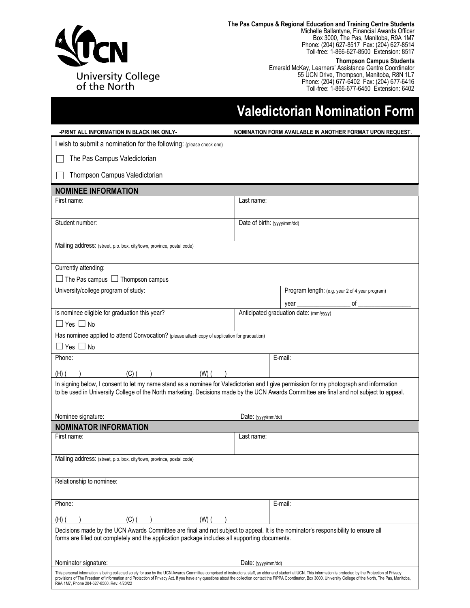

**The Pas Campus & Regional Education and Training Centre Students** Michelle Ballantyne, Financial Awards Officer Box 3000, The Pas, Manitoba, R9A 1M7 Phone: (204) 627-8517 Fax: (204) 627-8514 Toll-free: 1-866-627-8500 Extension: 8517

**Thompson Campus Students**

Emerald McKay, Learners' Assistance Centre Coordinator 55 UCN Drive, Thompson, Manitoba, R8N 1L7 Phone: (204) 677-6402 Fax: (204) 677-6416 Toll-free: 1-866-677-6450 Extension: 6402

# **Valedictorian Nomination Form**

| -PRINT ALL INFORMATION IN BLACK INK ONLY-                                                                                                                                                                                                                                           | NOMINATION FORM AVAILABLE IN ANOTHER FORMAT UPON REQUEST.                                                                                                                                                           |
|-------------------------------------------------------------------------------------------------------------------------------------------------------------------------------------------------------------------------------------------------------------------------------------|---------------------------------------------------------------------------------------------------------------------------------------------------------------------------------------------------------------------|
| I wish to submit a nomination for the following: (please check one)                                                                                                                                                                                                                 |                                                                                                                                                                                                                     |
| The Pas Campus Valedictorian                                                                                                                                                                                                                                                        |                                                                                                                                                                                                                     |
| Thompson Campus Valedictorian                                                                                                                                                                                                                                                       |                                                                                                                                                                                                                     |
| <b>NOMINEE INFORMATION</b>                                                                                                                                                                                                                                                          |                                                                                                                                                                                                                     |
| First name:                                                                                                                                                                                                                                                                         | Last name:                                                                                                                                                                                                          |
|                                                                                                                                                                                                                                                                                     |                                                                                                                                                                                                                     |
| Student number:                                                                                                                                                                                                                                                                     | Date of birth: (yyyy/mm/dd)                                                                                                                                                                                         |
| Mailing address: (street, p.o. box, city/town, province, postal code)                                                                                                                                                                                                               |                                                                                                                                                                                                                     |
| Currently attending:                                                                                                                                                                                                                                                                |                                                                                                                                                                                                                     |
| The Pas campus $\Box$ Thompson campus                                                                                                                                                                                                                                               |                                                                                                                                                                                                                     |
| University/college program of study:                                                                                                                                                                                                                                                | Program length: (e.g. year 2 of 4 year program)                                                                                                                                                                     |
|                                                                                                                                                                                                                                                                                     |                                                                                                                                                                                                                     |
| Is nominee eligible for graduation this year?                                                                                                                                                                                                                                       | Anticipated graduation date: (mm/yyyy)                                                                                                                                                                              |
| $\Box$ Yes $\Box$ No                                                                                                                                                                                                                                                                |                                                                                                                                                                                                                     |
| Has nominee applied to attend Convocation? (please attach copy of application for graduation)                                                                                                                                                                                       |                                                                                                                                                                                                                     |
| $\Box$ Yes $\Box$ No<br>Phone:                                                                                                                                                                                                                                                      | E-mail:                                                                                                                                                                                                             |
|                                                                                                                                                                                                                                                                                     |                                                                                                                                                                                                                     |
| $(C)$ ( )<br>$(W)$ ( )<br>$(H)$ (                                                                                                                                                                                                                                                   |                                                                                                                                                                                                                     |
| In signing below, I consent to let my name stand as a nominee for Valedictorian and I give permission for my photograph and information<br>to be used in University College of the North marketing. Decisions made by the UCN Awards Committee are final and not subject to appeal. |                                                                                                                                                                                                                     |
| Nominee signature:                                                                                                                                                                                                                                                                  | Date: (yyyy/mm/dd)                                                                                                                                                                                                  |
| <b>NOMINATOR INFORMATION</b><br>First name:                                                                                                                                                                                                                                         | Last name:                                                                                                                                                                                                          |
|                                                                                                                                                                                                                                                                                     |                                                                                                                                                                                                                     |
| Mailing address: (street, p.o. box, city/town, province, postal code)                                                                                                                                                                                                               |                                                                                                                                                                                                                     |
| Relationship to nominee:                                                                                                                                                                                                                                                            |                                                                                                                                                                                                                     |
| Phone:                                                                                                                                                                                                                                                                              | E-mail:                                                                                                                                                                                                             |
| $(C)$ (<br>$(W)$ (<br>(H)                                                                                                                                                                                                                                                           |                                                                                                                                                                                                                     |
| Decisions made by the UCN Awards Committee are final and not subject to appeal. It is the nominator's responsibility to ensure all<br>forms are filled out completely and the application package includes all supporting documents.                                                |                                                                                                                                                                                                                     |
| Nominator signature:                                                                                                                                                                                                                                                                | Date: (yyyy/mm/dd)                                                                                                                                                                                                  |
| This personal information is being collected solely for use by the UCN Awards Committee comprised of instructors, staff, an elder and student at UCN. This information is protected by the Protection of Privacy<br>R9A 1M7, Phone 204-627-8500. Rev. 4/20/22                       | provisions of The Freedom of Information and Protection of Privacy Act. If you have any questions about the collection contact the FIPPA Coordinator, Box 3000, University College of the North, The Pas, Manitoba, |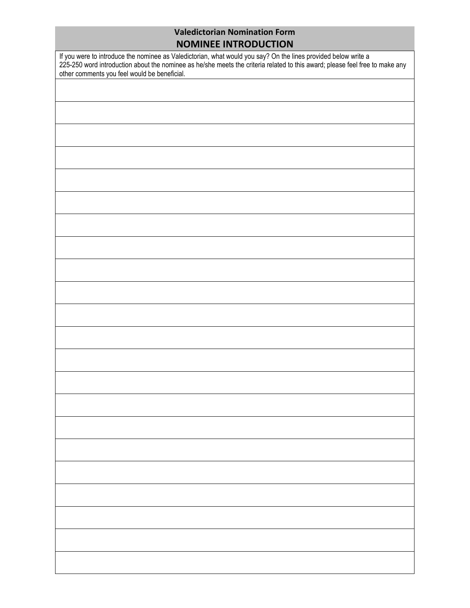### **Valedictorian Nomination Form NOMINEE INTRODUCTION**

| If you were to introduce the nominee as Valedictorian, what would you say? On the lines provided below write a<br>225-250 word introduction about the nominee as he/she meets the criteria related to this award; please feel fre<br>other comments you feel would be beneficial. |  |  |
|-----------------------------------------------------------------------------------------------------------------------------------------------------------------------------------------------------------------------------------------------------------------------------------|--|--|
|                                                                                                                                                                                                                                                                                   |  |  |
|                                                                                                                                                                                                                                                                                   |  |  |
|                                                                                                                                                                                                                                                                                   |  |  |
|                                                                                                                                                                                                                                                                                   |  |  |
|                                                                                                                                                                                                                                                                                   |  |  |
|                                                                                                                                                                                                                                                                                   |  |  |
|                                                                                                                                                                                                                                                                                   |  |  |
|                                                                                                                                                                                                                                                                                   |  |  |
|                                                                                                                                                                                                                                                                                   |  |  |
|                                                                                                                                                                                                                                                                                   |  |  |
|                                                                                                                                                                                                                                                                                   |  |  |
|                                                                                                                                                                                                                                                                                   |  |  |
|                                                                                                                                                                                                                                                                                   |  |  |
|                                                                                                                                                                                                                                                                                   |  |  |
|                                                                                                                                                                                                                                                                                   |  |  |
|                                                                                                                                                                                                                                                                                   |  |  |
|                                                                                                                                                                                                                                                                                   |  |  |
|                                                                                                                                                                                                                                                                                   |  |  |
|                                                                                                                                                                                                                                                                                   |  |  |
|                                                                                                                                                                                                                                                                                   |  |  |
|                                                                                                                                                                                                                                                                                   |  |  |
|                                                                                                                                                                                                                                                                                   |  |  |
|                                                                                                                                                                                                                                                                                   |  |  |
|                                                                                                                                                                                                                                                                                   |  |  |
|                                                                                                                                                                                                                                                                                   |  |  |
|                                                                                                                                                                                                                                                                                   |  |  |
|                                                                                                                                                                                                                                                                                   |  |  |
|                                                                                                                                                                                                                                                                                   |  |  |